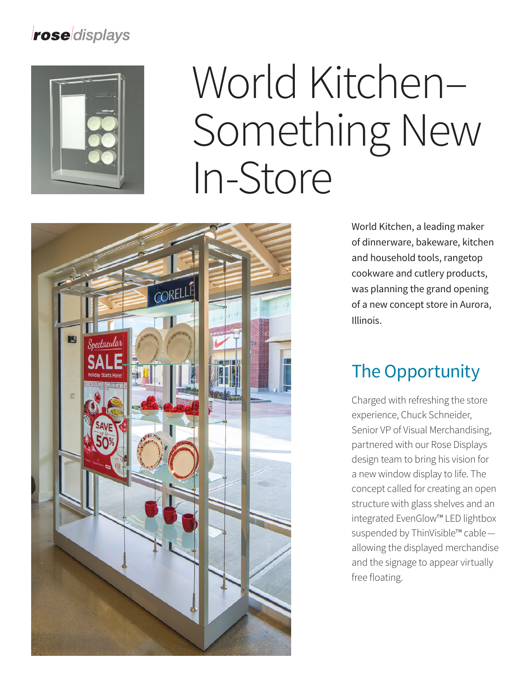#### roseldisplays



# World Kitchen– Something New In-Store



World Kitchen, a leading maker of dinnerware, bakeware, kitchen and household tools, rangetop cookware and cutlery products, was planning the grand opening of a new concept store in Aurora, Illinois.

### The Opportunity

Charged with refreshing the store experience, Chuck Schneider, Senior VP of Visual Merchandising, partnered with our Rose Displays design team to bring his vision for a new window display to life. The concept called for creating an open structure with glass shelves and an integrated EvenGlow™ LED lightbox suspended by ThinVisible™ cable allowing the displayed merchandise and the signage to appear virtually free floating.